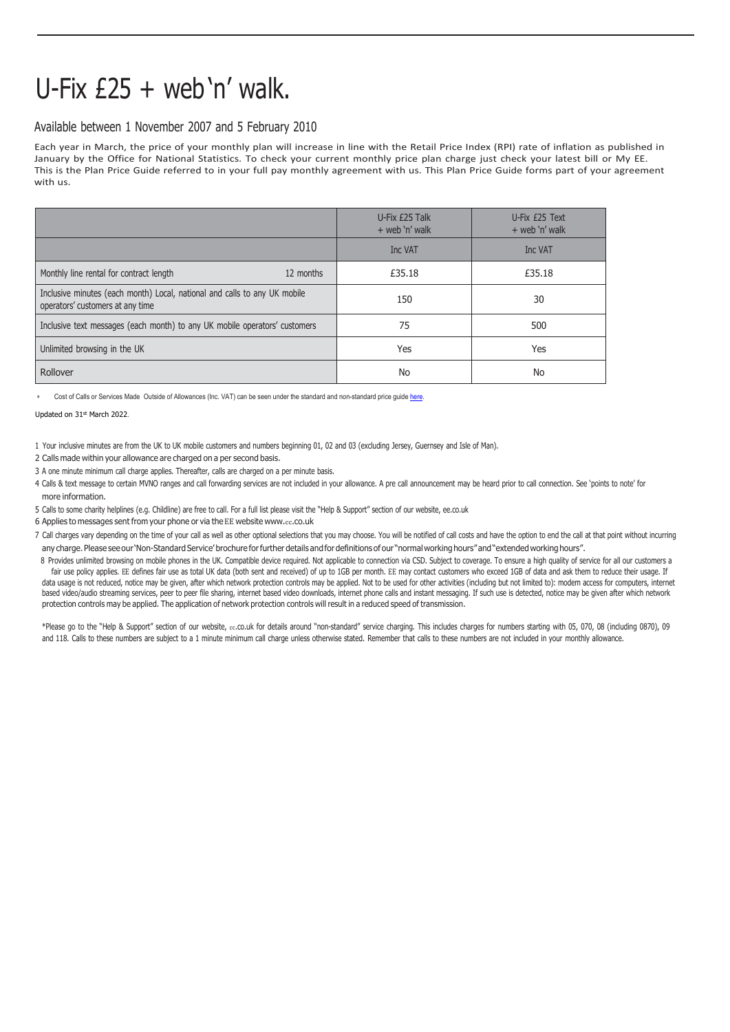## U-Fix  $£25 +$  web 'n' walk.

## Available between 1 November 2007 and 5 February 2010

Each year in March, the price of your monthly plan will increase in line with the Retail Price Index (RPI) rate of inflation as published in January by the Office for National Statistics. To check your current monthly price plan charge just check your latest bill or My EE. This is the Plan Price Guide referred to in your full pay monthly agreement with us. This Plan Price Guide forms part of your agreement with us.

|                                                                                                               | U-Fix £25 Talk<br>$+$ web 'n' walk | U-Fix £25 Text<br>$+$ web 'n' walk |
|---------------------------------------------------------------------------------------------------------------|------------------------------------|------------------------------------|
|                                                                                                               | Inc VAT                            | Inc VAT                            |
| Monthly line rental for contract length<br>12 months                                                          | £35.18                             | £35.18                             |
| Inclusive minutes (each month) Local, national and calls to any UK mobile<br>operators' customers at any time | 150                                | 30                                 |
| Inclusive text messages (each month) to any UK mobile operators' customers                                    | 75                                 | 500                                |
| Unlimited browsing in the UK                                                                                  | Yes                                | Yes                                |
| Rollover                                                                                                      | No                                 | No                                 |

Cost of Calls or Services Made Outside of Allowances (Inc. VAT) can be seen under the standard and non-standard price guide here

Updated on 31st March 2022.

1 Your inclusive minutes are from the UK to UK mobile customers and numbers beginning 01, 02 and 03 (excluding Jersey, Guernsey and Isle of Man).

2 Calls made within your allowance are charged on a per second basis.

- 3 A one minute minimum call charge applies. Thereafter, calls are charged on a per minute basis.
- 4 Calls & text message to certain MVNO ranges and call forwarding services are not included in your allowance. A pre call announcement may be heard prior to call connection. See 'points to note' for more information.

5 Calls to some charity helplines (e.g. Childline) are free to call. For a full list please visit the "Help & Support" section of our website, ee.co.uk

- 6 Applies to messages sent from your phone or via the EE website www.ee[.co.uk](http://www.ee.co.uk/)
- 7 Call charges vary depending on the time of your call as well as other optional selections that you may choose. You will be notified of call costs and have the option to end the call at that point without incurring any charge. Please see our 'Non-Standard Service' brochure for further details and for definitions of our "normal working hours" and "extended working hours".
- 8 Provides unlimited browsing on mobile phones in the UK. Compatible device required. Not applicable to connection via CSD. Subject to coverage. To ensure a high quality of service for all our customers a fair use policy applies. EE defines fair use as total UK data (both sent and received) of up to 1GB per month. EE may contact customers who exceed 1GB of data and ask them to reduce their usage. If data usage is not reduced, notice may be given, after which network protection controls may be applied. Not to be used for other activities (including but not limited to): modem access for computers, internet based video/audio streaming services, peer to peer file sharing, internet based video downloads, internet phone calls and instant messaging. If such use is detected, notice may be given after which network protection controls may be applied. The application of network protection controls will result in a reduced speed of transmission.

\*Please go to the "Help & Support" section of our website, ee.co.uk for details around "non-standard" service charging. This includes charges for numbers starting with 05, 070, 08 (including 0870), 09 and 118. Calls to these numbers are subject to a 1 minute minimum call charge unless otherwise stated. Remember that calls to these numbers are not included in your monthly allowance.